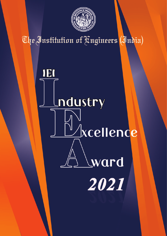

The Institution of Fingineers (India)

# IEI ndustry *<u>Acellence</u>* ward 2021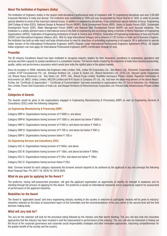# **About The Institution of Engineers (India)**

The Institution of Engineers (India) is the largest multi-disciplinary professional body of engineers with 15 engineering disciplines and over 2,00,000 Corporate Members in India and abroad. The Institution was established in 1920 and was incorporated by Royal Charter in 1935. In order to provide special attention to some of the important national issues, in addition to engineering disciplines, it has established special vehicles of focus. Engineering Staff College of India (ESCI), National Design & Research Forum (NDRF), Rural Development Forum (RDF), Safety & Quality Forum (SQF), Sustainable Development Forum (SDF), Water Management Forum (WMF) and National Skill Development Forum (NSDF) are such focused initiatives. The Institution is a widely admired name in international arena in the field of engineering and technology being a member of World Federation of Engineering Organizations (WFEO), Federation of Engineering Institutions of South & Central Asia (FEISCA), Federation of Engineering Institutions of Asia and Pacific (FEIAP) and International Engineers Alliance (IEA). With its large international linkages and a network of 125 Centres in India and 6 Overseas Chapters, the Institution has built up wide reach and large infrastructure to meet its objectives of promoting engineering in all aspects. IEI is authorized to operate Indian Section of the International Professional Engineers (IntPE) Register under International Professional Engineers Agreement (IPEA). All eligible Indian engineers can now apply for International Professional Engineers (IntPE) Certification through IEI only.

# **Preamble**

The IEI Industry Excellence Award has been instituted to recognize industry leaders for their innovation, excellence in engineering operations and services and their capacity to sustain excellence in a competitive manner. The bench-marks created by the industries in India have included productivity, quality, safety and performance assurance which would give India the rightful place in the global markets.

Since its inception in 2008, industries like Engineers India Limited, SAIL, Indian Oil Corporation Ltd., Tata Motors Ltd., Electronic Corporation of India Limited, STUP Consultancies Pvt. Ltd., Kirloskar Brothers Ltd., Larsen & Toubro Ltd., Bharat Electronics Ltd., CESC Ltd., Neyveli Lignite Corporation Ltd, Bharat Heavy Electricals Ltd., Tata Steels Ltd., NTPC, HAL, Bharat Forge Limited, BrahMos Aerospace Private Limited, Rajasthan Electronics & Instruments Ltd, NBCC (India) Limited, MECON Limited and M N Dastur & Company (P) Ltd., etc. had been the deserving winners of the above Award. Further, the 'Certificate of Appreciation' / 'Certificate of Commendation' had been presented to organisations like J K Tyre & Industries Ltd, Hindustan Zinc Limited, Power Grid Corporation of India Ltd. and Deepak Fertilizers & Petrochemicals Corporation Ltd, Precast India Infrastructures Private Limited etc.

# **Categories of Awards**

The Awards would be given to the organisations engaged in Engineering Manufacturing & Processing (EMP) as well as Engineering Services & Consultancy (ESC) under the following categories:

#### **(a) Engineering Manufacturing & Processing (EMP)**

Category EMP-A: Organisations having turnover of  $\bar{\tau}$  5000 cr. and above

Category EMP-B: Organisations having turnover of  $\bar{\tau}$  1000 cr. and above but below  $\bar{\tau}$  5000 cr.

Category EMP-C: Organisations having turnover of  $\bar{\tau}$  500 cr. and above but below  $\bar{\tau}$  1000 cr.

Category EMP-D: Organisations having turnover of  $\bar{\tau}$  100 cr. and above but below  $\bar{\tau}$  500 cr.

Category EMP-E: Organisations having turnover below  $\bar{\tau}$  100 cr.

#### **(b) Engineering Services and Consultancy (ESC)**

Category ESC-A: Organisations having turnover of  $\bar{\tau}$  500cr. and above

Category ESC-B: Organisations having turnover of  $\bar{\tau}$  100cr. and above but below  $\bar{\tau}$  500cr.

Category ESC-C: Organisations having turnover of  $\bar{\tau}$  25cr. and above but below  $\bar{\tau}$  100cr.

Category ESC-D: Organisations having turnover below  $\bar{\tau}$  25cr.

Note: Turnover bracket for each category represents the turnover amount required to be achieved by the applicant in any one amongst the following three Financial Year: FYs 2017-18, 2018-19, 2019-2020.

### **What do you gain by applying for the Award ?**

The proforma, having self-assessment procedure, will give the applicant organisation an opportunity to identify its strength & weakness and its standing through the process of applying for this Award. The proforma is based on international standards and is prepared by experts for assessment of performance of the applicant industries.

#### **Modalities for the Award**

The Award is 'application based' and every engineering industry working in the country is welcome to participate. Awards will be given to industry/ industries selected on the basis of assessment report of the Committee and the recommendations of the Jury which is the second level and the final decision making body.

#### **What will Jury look for?**

The Jury for the selection will look for the procedure being followed by the industry and their bench marking. The Jury will also look into innovative approaches that the industry has been involved in and the improvement in performance of the industry. The Jury will also be interested in finding out the thrust of the corporate governance and corporate social responsibility strategies and other innovative approaches, improving competitiveness for the greater benefit of the society and the country.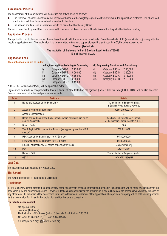# **Assessment Process**

The assessment of the applications will be carried out at two levels as follows:

- l The first level of assessment would be carried out based on the weightage given to different items in the application proforma. The shortlisted applications will then be selected and presented to the Jury.
- The second and final level assessment would be carried out by the Jury Board.

The decision of the Jury would be communicated to the selected Award winners. The decision of the Jury shall be final and binding.

### **Application Process**

The application has to be sent as per the enclosed format, which can also be downloaded from the website of IEI (www.ieindia.org), along with the requisite application fees. The application is to be submitted in two hard copies along with a soft copy in a CD/Pendrive addressed to

#### **Director (Technical)**

**The Institution of Engineers (India), 8 Gokhale Road, Kolkata 700020**

E-mail: iea@ieindia.org

# **Application Fees**

**The application fees are as under:**

| (a) Engineering Manufacturing & Processing |                        |          |  |  |
|--------------------------------------------|------------------------|----------|--|--|
| (i)                                        | <b>Category EMP-A:</b> | ₹75,000  |  |  |
| (ii)                                       | Category EMP-B:        | ₹50,000  |  |  |
| (iii)                                      | Category EMP-C:        | ₹ 35,000 |  |  |
| (iv)                                       | Category EMP-D:        | ₹ 25,000 |  |  |
| (V)                                        | Category EMP-E:        | ₹ 15,000 |  |  |

#### **(b) Engineering Services and Consultancy**

| (i)   | Category ESC-A: | ₹50,000  |
|-------|-----------------|----------|
| (ii)  | Category ESC-B: | ₹ 25.000 |
| (iii) | Category ESC-C: | ₹15,000  |
| (iv)  | Category ESC-D: | ₹ 10.000 |

\* 18 % GST (or any other taxes) will be applicable extra.

Payments to be made by cheques/drafts drawn in favour of "The Institution of Engineers (India)". Transfer through NEFT/RTGS will be also accepted. Bank account details for the said purpose are as under:

| <b>Sr No</b>    | <b>Particulars</b>                                                                  | <b>Details</b>                                                               |
|-----------------|-------------------------------------------------------------------------------------|------------------------------------------------------------------------------|
|                 | Name and address of the Beneficiary                                                 | The Institution of Engineers (India)<br>8 Gokhale Road, Kolkata 700 020      |
| $\overline{2}$  | <b>Account Number of Beneficiary</b>                                                | 005010100002704                                                              |
| 3               | <b>Account Classification</b>                                                       | <b>SB</b>                                                                    |
| 4               | Name and address of the Bank Branch (where payments are to be<br>sent by Applicant) | Axis Bank Ltd, Kolkata Main Branch,<br>7 Shakespeare Sarani, Kolkata 700 071 |
| 5               | <b>Branch Code</b>                                                                  | 005                                                                          |
| $6\overline{6}$ | The 9 Digit MICR code of the Branch (as appearing on the MICR<br>cheque)            | 700 211 002                                                                  |
|                 | IFSC Code of the Bank Branch for RTGS mode                                          | UTIB0000005                                                                  |
| 8               | <b>IFSC Code of the Bank Branch for NEFT mode</b>                                   | UTIB0000005                                                                  |
| 9               | Email ID of Beneficiary for advice of payment by Bank                               | iea@ieindia.org                                                              |
| 10              | <b>PAN</b>                                                                          | AAATT34390                                                                   |
| 11              | Name in PAN                                                                         | The Institution of Engineers (India)                                         |
| 12              | <b>GSTIN</b>                                                                        | 19AAATT3439Q1ZR                                                              |

#### **Last Date**

The last date for application is 31<sup>st</sup> August, 2021.

#### **The Award**

The Award consists of a Plaque and a Certificate.

#### **Disclaimer**

IEI will take every care to protect the confidentiality of the assessment process. Information provided in the application will be made available only to the assessors, jury and concerned persons. However, IEI takes no responsibility if the information is shared by any of the persons involved in the process or any other form. IEI will retain all the documents furnished to facilitate assessment of the application. The applicant company will be held sole responsible for the information furnished in the application and for the factual correctness.

#### **For details please contact:**

Ms Aparna Dutta Executive (Technical) The Institution of Engineers (India), 8 Gokhale Road, Kolkata 700 020  $\mathbf{R}: +91\,33\,40106\,215, \quad \div 91\,9874642444$  $\boxtimes$ : iea@ieindia.org;  $\boxplus$  www.ieindia.org